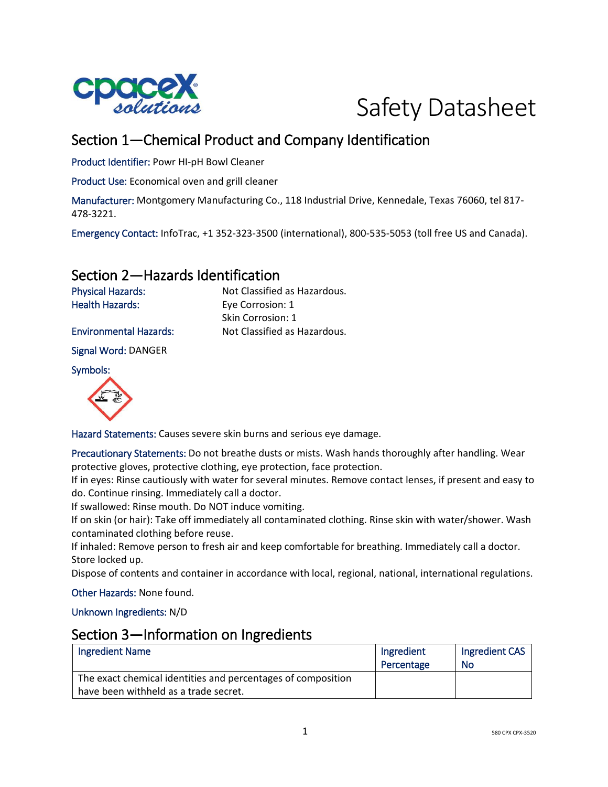



# Section 1—Chemical Product and Company Identification

Product Identifier: Powr HI-pH Bowl Cleaner

Product Use: Economical oven and grill cleaner

Manufacturer: Montgomery Manufacturing Co., 118 Industrial Drive, Kennedale, Texas 76060, tel 817- 478-3221.

Emergency Contact: InfoTrac, +1 352-323-3500 (international), 800-535-5053 (toll free US and Canada).

## Section 2—Hazards Identification

| <b>Physical Hazards:</b>      | Not Classified as Hazardous. |
|-------------------------------|------------------------------|
| <b>Health Hazards:</b>        | Eye Corrosion: 1             |
|                               | Skin Corrosion: 1            |
| <b>Environmental Hazards:</b> | Not Classified as Hazardous. |

Signal Word: DANGER

Symbols:



Hazard Statements: Causes severe skin burns and serious eye damage.

Precautionary Statements: Do not breathe dusts or mists. Wash hands thoroughly after handling. Wear protective gloves, protective clothing, eye protection, face protection.

If in eyes: Rinse cautiously with water for several minutes. Remove contact lenses, if present and easy to do. Continue rinsing. Immediately call a doctor.

If swallowed: Rinse mouth. Do NOT induce vomiting.

If on skin (or hair): Take off immediately all contaminated clothing. Rinse skin with water/shower. Wash contaminated clothing before reuse.

If inhaled: Remove person to fresh air and keep comfortable for breathing. Immediately call a doctor. Store locked up.

Dispose of contents and container in accordance with local, regional, national, international regulations.

Other Hazards: None found.

Unknown Ingredients: N/D

#### Section 3—Information on Ingredients

| <b>Ingredient Name</b>                                       | Ingredient | Ingredient CAS |
|--------------------------------------------------------------|------------|----------------|
|                                                              | Percentage | <b>No</b>      |
| The exact chemical identities and percentages of composition |            |                |
| have been withheld as a trade secret.                        |            |                |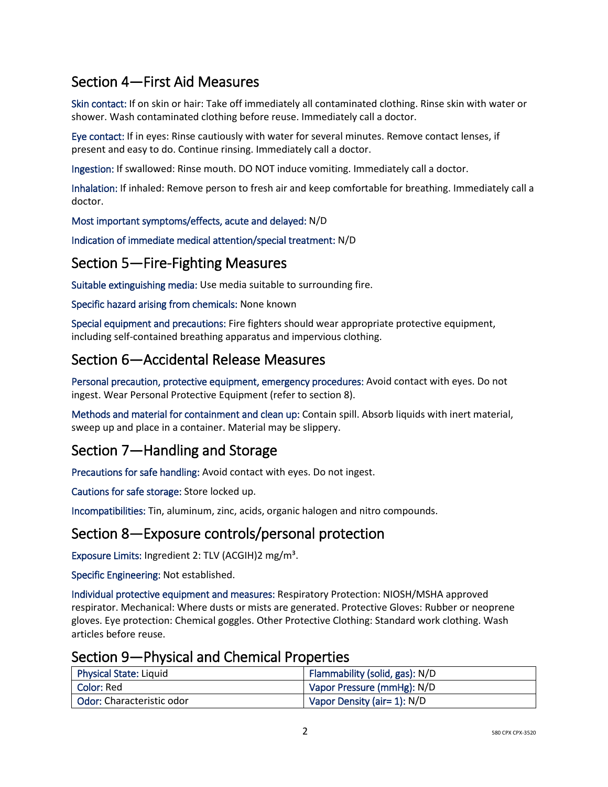# Section 4—First Aid Measures

Skin contact: If on skin or hair: Take off immediately all contaminated clothing. Rinse skin with water or shower. Wash contaminated clothing before reuse. Immediately call a doctor.

Eye contact: If in eyes: Rinse cautiously with water for several minutes. Remove contact lenses, if present and easy to do. Continue rinsing. Immediately call a doctor.

Ingestion: If swallowed: Rinse mouth. DO NOT induce vomiting. Immediately call a doctor.

Inhalation: If inhaled: Remove person to fresh air and keep comfortable for breathing. Immediately call a doctor.

Most important symptoms/effects, acute and delayed: N/D

Indication of immediate medical attention/special treatment: N/D

## Section 5—Fire-Fighting Measures

Suitable extinguishing media: Use media suitable to surrounding fire.

Specific hazard arising from chemicals: None known

Special equipment and precautions: Fire fighters should wear appropriate protective equipment, including self-contained breathing apparatus and impervious clothing.

# Section 6—Accidental Release Measures

Personal precaution, protective equipment, emergency procedures: Avoid contact with eyes. Do not ingest. Wear Personal Protective Equipment (refer to section 8).

Methods and material for containment and clean up: Contain spill. Absorb liquids with inert material, sweep up and place in a container. Material may be slippery.

# Section 7—Handling and Storage

Precautions for safe handling: Avoid contact with eyes. Do not ingest.

Cautions for safe storage: Store locked up.

Incompatibilities: Tin, aluminum, zinc, acids, organic halogen and nitro compounds.

# Section 8—Exposure controls/personal protection

Exposure Limits: Ingredient 2: TLV (ACGIH)2 mg/m<sup>3</sup>.

Specific Engineering: Not established.

Individual protective equipment and measures: Respiratory Protection: NIOSH/MSHA approved respirator. Mechanical: Where dusts or mists are generated. Protective Gloves: Rubber or neoprene gloves. Eye protection: Chemical goggles. Other Protective Clothing: Standard work clothing. Wash articles before reuse.

| <b>Physical State: Liquid</b> | Flammability (solid, gas): N/D |
|-------------------------------|--------------------------------|
| Color: Red                    | Vapor Pressure (mmHg): N/D     |
| Odor: Characteristic odor     | Vapor Density (air= 1): N/D    |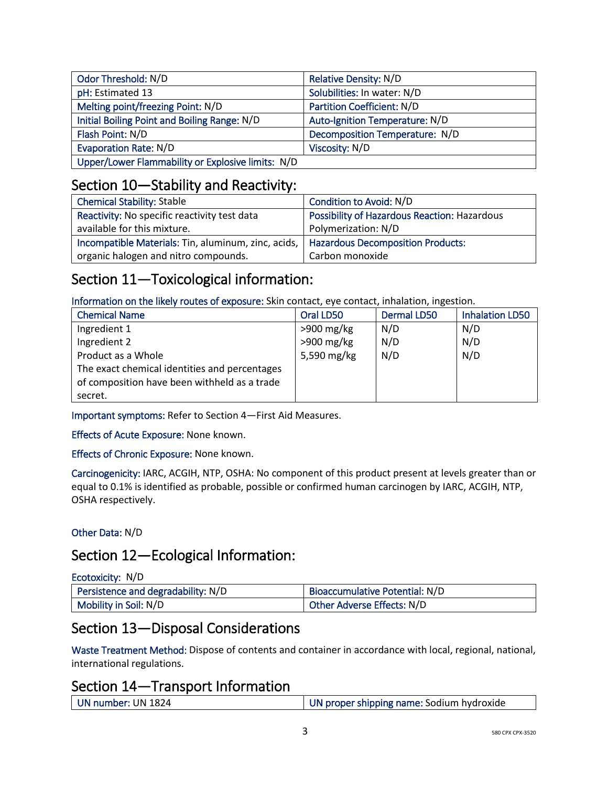| Odor Threshold: N/D                               | Relative Density: N/D          |
|---------------------------------------------------|--------------------------------|
| pH: Estimated 13                                  | Solubilities: In water: N/D    |
| Melting point/freezing Point: N/D                 | Partition Coefficient: N/D     |
| Initial Boiling Point and Boiling Range: N/D      | Auto-Ignition Temperature: N/D |
| Flash Point: N/D                                  | Decomposition Temperature: N/D |
| <b>Evaporation Rate: N/D</b>                      | Viscosity: N/D                 |
| Upper/Lower Flammability or Explosive limits: N/D |                                |

# Section 10—Stability and Reactivity:

| <b>Chemical Stability: Stable</b>                   | Condition to Avoid: N/D                      |
|-----------------------------------------------------|----------------------------------------------|
| Reactivity: No specific reactivity test data        | Possibility of Hazardous Reaction: Hazardous |
| available for this mixture.                         | Polymerization: N/D                          |
| Incompatible Materials: Tin, aluminum, zinc, acids, | <b>Hazardous Decomposition Products:</b>     |
| organic halogen and nitro compounds.                | Carbon monoxide                              |

# Section 11—Toxicological information:

Information on the likely routes of exposure: Skin contact, eye contact, inhalation, ingestion.

| <b>Chemical Name</b>                          | Oral LD50    | <b>Dermal LD50</b> | <b>Inhalation LD50</b> |
|-----------------------------------------------|--------------|--------------------|------------------------|
| Ingredient 1                                  | $>900$ mg/kg | N/D                | N/D                    |
| Ingredient 2                                  | $>900$ mg/kg | N/D                | N/D                    |
| Product as a Whole                            | 5,590 mg/kg  | N/D                | N/D                    |
| The exact chemical identities and percentages |              |                    |                        |
| of composition have been withheld as a trade  |              |                    |                        |
| secret.                                       |              |                    |                        |

Important symptoms: Refer to Section 4—First Aid Measures.

Effects of Acute Exposure: None known.

Effects of Chronic Exposure: None known.

Carcinogenicity: IARC, ACGIH, NTP, OSHA: No component of this product present at levels greater than or equal to 0.1% is identified as probable, possible or confirmed human carcinogen by IARC, ACGIH, NTP, OSHA respectively.

Other Data: N/D

# Section 12—Ecological Information:

| Persistence and degradability: N/D | Bioaccumulative Potential: N/D |
|------------------------------------|--------------------------------|
| Mobility in Soil: N/D              | Other Adverse Effects: N/D     |

# Section 13—Disposal Considerations

Waste Treatment Method: Dispose of contents and container in accordance with local, regional, national, international regulations.

## Section 14—Transport Information

| UN number: UN 1824 | UN proper shipping name: Sodium hydroxide |
|--------------------|-------------------------------------------|
|                    |                                           |